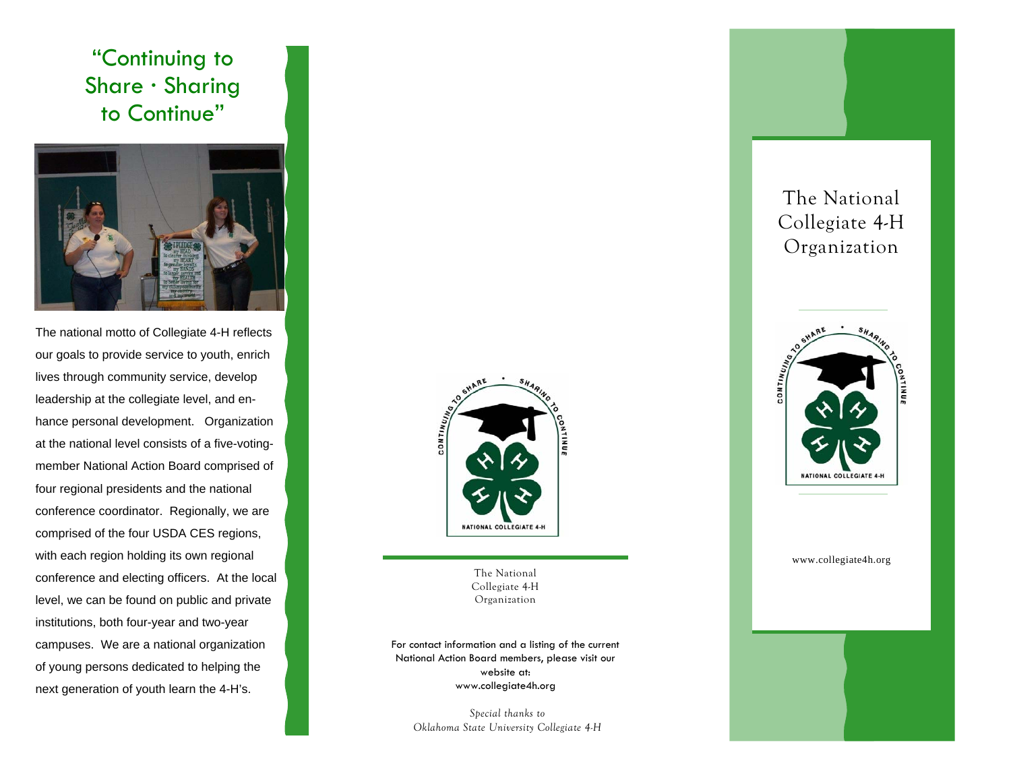## "Continuing to Share · Sharing to Continue"



The national motto of Collegiate 4-H reflects our goals to provide service to youth, enrich lives through community service, develop leadership at the collegiate level, and enhance personal development. Organization at the national level consists of a five-votingmember National Action Board comprised of four regional presidents and the national conference coordinator. Regionally, we are comprised of the four USDA CES regions, with each region holding its own regional conference and electing officers. At the local level, we can be found on public and private institutions, both four-year and two-year campuses. We are a national organization of young persons dedicated to helping the next generation of youth learn the 4-H's.



The National Collegiate 4-H Organization

For contact information and a listing of the current National Action Board members, please visit our website at: www.collegiate4h.org

*Special thanks to Oklahoma State University Collegiate 4-H* 

## The National Collegiate 4-H Organization

![](_page_0_Picture_8.jpeg)

## www.collegiate4h.org